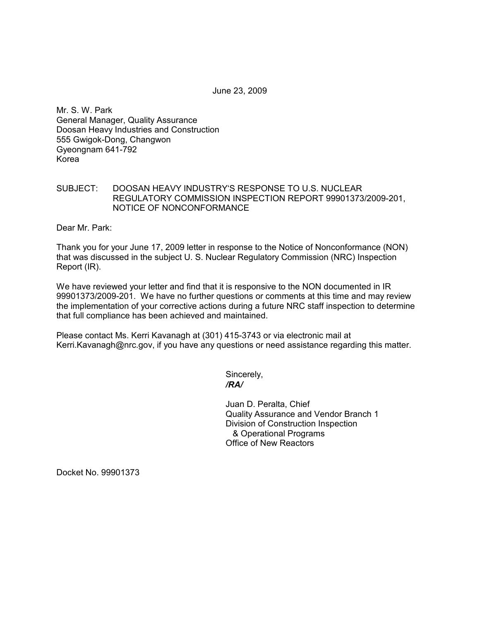June 23, 2009

Mr. S. W. Park General Manager, Quality Assurance Doosan Heavy Industries and Construction 555 Gwigok-Dong, Changwon Gyeongnam 641-792 Korea

## SUBJECT: DOOSAN HEAVY INDUSTRY'S RESPONSE TO U.S. NUCLEAR REGULATORY COMMISSION INSPECTION REPORT 99901373/2009-201, NOTICE OF NONCONFORMANCE

Dear Mr. Park:

Thank you for your June 17, 2009 letter in response to the Notice of Nonconformance (NON) that was discussed in the subject U. S. Nuclear Regulatory Commission (NRC) Inspection Report (IR).

We have reviewed your letter and find that it is responsive to the NON documented in IR 99901373/2009-201. We have no further questions or comments at this time and may review the implementation of your corrective actions during a future NRC staff inspection to determine that full compliance has been achieved and maintained.

Please contact Ms. Kerri Kavanagh at (301) 415-3743 or via electronic mail at Kerri.Kavanagh@nrc.gov, if you have any questions or need assistance regarding this matter.

Sincerely,  */RA/* 

> Juan D. Peralta, Chief Quality Assurance and Vendor Branch 1 Division of Construction Inspection & Operational Programs Office of New Reactors

Docket No. 99901373